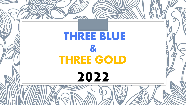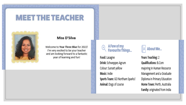# **MEET THE TEACHER**



#### Miss D'Silva

Welcome to Year Three Blue for 2022! I'm very excited to be your teacher and am looking forward to a fantastic year of learning and fun!

#### **AFew of my Favourite Things...**

Food: Lasagne Drink: Schweppes Agrum Colour: Sunset yellow Music: Indie Sports Team: GO Northam Sparks! Animal: Dogs of course



Years Teaching: 2 **Qualifications: B.Com** majoring in Human Resource Management and a Graduate Diploma in Primary Education Home Town: Perth, Australia Family: originated from India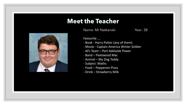

#### **Meet the Teacher**

Name: Mr Natkanski Year: 3B

Favourite ….

- Book Harry Potter (any of them)
- Movie Captain America Winter Soldier
- AFL Team Port Adelaide Power
- Band Fleetwood Mac
- Animal My Dog Teddy
- Subject: Maths
- Food Pepperoni Pizza
- Drink Strawberry Milk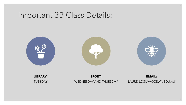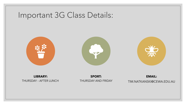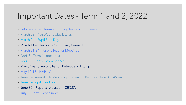### Important Dates - Term 1 and 2, 2022

- February 28 Interim swimming lessons commence
- March 02 Ash Wednesday Liturgy
- March 04 Pupil Free Day
- March 11 Interhouse Swimming Carnival
- March 21-24 Parent Teacher Meetings
- April 8 Term 1 concludes
- April 26 Term 2 commences
- May 3 Year 3 Reconciliation Retreat and Liturgy
- May 10-17 NAPLAN
- June 1 Parent/Child Workshop/Rehearsal Reconciliation @ 3.45pm
- June 3 Pupil Free Day
- June 30 Reports released in SEQTA
- July 1 Term 2 concludes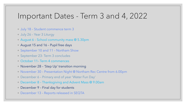#### Important Dates - Term 3 and 4, 2022

- July 18 Student commence term 3
- July 26 Year 3 Liturgy
- August 6 School community mass @ 5.30pm
- August 15 and 16 Pupil free days
- September 10 and 11 Northam Show
- September 23- Term 3 concludes
- October 11– Term 4 commences
- November 28 'Step Up' transition morning
- November 30 Presentation Night @ Northam Rec Centre from 6.00pm
- December 6 Primary end of year 'Water Fun Day'
- December 8 Thanksgiving and Advent Mass @ 9.00am
- December 9 Final day for students
- December 13 Reports released in SEQTA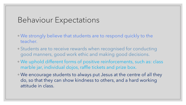### Behaviour Expectations

- We strongly believe that students are to respond quickly to the teacher.
- Students are to receive rewards when recognised for conducting good manners, good work ethic and making good decisions.
- We uphold different forms of positive reinforcements, such as: class marble jar, individual dojos, raffle tickets and prize box.
- We encourage students to always put Jesus at the centre of all they do, so that they can show kindness to others, and a hard working attitude in class.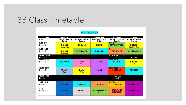# 3B Class Timetable

| <u> Year Three Blue</u>          |                                       |                                       |                                       |                                       |                                        |  |  |  |
|----------------------------------|---------------------------------------|---------------------------------------|---------------------------------------|---------------------------------------|----------------------------------------|--|--|--|
| Time                             | Monday                                | <b>Tuesday</b>                        | Wednesday                             | <b>Thursday</b>                       | Friday                                 |  |  |  |
| 8:30                             | Attendance, Notes &<br><b>Baskets</b> | Attendance, Notes &<br><b>Baskets</b> | Attendance, Notes &<br><b>Baskets</b> | Attendance, Notes &<br><b>Baskets</b> | Attendance, Notes &<br><b>Baskets</b>  |  |  |  |
| $9:00 - 9.50$<br>Period 1        | <b>ENGLISH</b><br><b>Handwriting</b>  | <b>ENGLISH</b>                        | <b>ENGLISH</b>                        | $9.00 - 9.45$<br><b>MATHEMATICS</b>   | <b>ENGLISH</b><br><b>Spelling Test</b> |  |  |  |
| $9:55-10.45$<br>Period 2         | <b>ENGLISH</b><br>Grammar             | <b>MATHEMATICS</b>                    | <b>RELIGION</b>                       | 9:45<br><b>PE/HEALTH</b>              | <b>MATHEMATICS</b>                     |  |  |  |
| $10:45 - 11.05$<br><b>Recess</b> |                                       |                                       |                                       | 10:30-10.50 Recess                    | Recess                                 |  |  |  |
| 11:15-11.55<br>Period 3          | <b>RELIGION</b>                       | <b>ART</b><br>Syona                   | <b>HASS</b>                           | 10.50-11.35<br><b>RELIGION</b>        | <b>ENGLISH</b><br>T <sub>4</sub> W     |  |  |  |
| 12:00-12.50<br>Period 4          | <b>AUSLAN</b><br><b>Bec</b>           | <b>English</b><br>T <sub>4</sub> W    | <b>HASS</b>                           | 11.35-12.20<br><b>CATCH UP</b>        | <b>RELIGION</b>                        |  |  |  |
| $12:50 - 1.30$<br>Lunch          |                                       |                                       |                                       | 12.20-1.00<br>Lunch                   |                                        |  |  |  |
| $1:30 - 2.15$<br>Period 5        | <b>SCIENCE</b>                        | <b>RELIGION</b>                       | <b>PE/HEALTH</b>                      | $1:00 - 1.45$<br><b>LIT SINGING</b>   | <b>TECHNOLOGY</b>                      |  |  |  |
| 2:20<br>Period 6                 | <b>SCIENCE</b>                        | <b>LIBRARY</b>                        | <b>MATHEMATICS</b><br>Ken             | <b>SPORT AND</b><br><b>CATCH UP</b>   | <b>TECHNOLOGY</b>                      |  |  |  |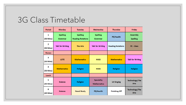### 3G Class Timetable

| Period                   | <b>Monday</b>              | <b>Tuesday</b>                              | Wednesday                               | <b>Thursday</b>          | <b>Friday</b>                        |
|--------------------------|----------------------------|---------------------------------------------|-----------------------------------------|--------------------------|--------------------------------------|
| 1<br>$(50 \text{ Mins})$ | <b>Spelling</b><br>Grammar | <b>Spelling</b><br><b>Reading Rotations</b> | <b>Spelling</b><br>Grammar              | PE/Health                | <b>Assembly</b><br><b>Spelling</b>   |
| 2<br>$(50 \text{ Mins})$ | <b>Talk for Writing</b>    | <b>The Arts</b>                             | <b>Talk for Writing</b>                 | <b>Reading Rotations</b> | <b>PE - Class</b>                    |
| <b>Recess</b>            |                            |                                             |                                         |                          |                                      |
| 3<br>$(50 \text{ Mins})$ | <b>LOTE</b>                | <b>Mathematics</b>                          | <b>HASS</b>                             | <b>Mathematics</b>       | <b>Talk for Writing</b>              |
| 4<br>$(50 \text{ Mins})$ | <b>Mathematics</b>         | <b>Religion</b>                             | <b>HASS</b>                             | <b>Religion</b>          | <b>Religion</b>                      |
| Lunch                    |                            |                                             |                                         |                          |                                      |
| 5<br>(45 Mins)           | <b>Science</b>             | <b>Religion</b>                             | <b>Speciality</b><br><b>Mathematics</b> | <b>Lit Singing</b>       | <b>Technology/The</b><br><b>Arts</b> |
| 6<br>$(45$ Mins $)$      | <b>Science</b>             | <b>Novel Study</b>                          | <b>PE/Health</b>                        | <b>Finishing Off</b>     | <b>Technology/The</b><br><b>Arts</b> |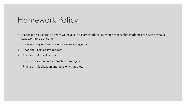# Homework Policy

- At St Joseph's School Northam we have a 'No Homework Policy' which means that students aren't set any take away work to do at home.
- However in saying this, students are encouraged to:
- 1. Read their Lexiles/PM readers
- 2. Practise their spelling words
- 3. Practise addition and subtraction strategies
- 4. Practise multiplication and division strategies.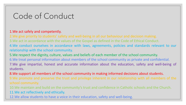# Code of Conduct

#### 1.We act safely and competently.

2.We give priority to students' safety and well-being in all our behaviour and decision making. 3.We act in accordance with the values of the Gospel as defined in the Code of Ethical Conduct. 4.We conduct ourselves in accordance with laws, agreements, policies and standards relevant to our relationship with the school community.

5.We respect the dignity, culture, values and beliefs of each member of the school community. 6.We treat personal information about members of the school community as private and confidential. 7.We give impartial, honest and accurate information about the education, safety and well-being of students.

8.We support all members of the school community in making informed decisions about students. 9.We promote and preserve the trust and privilege inherent in our relationship with all members of the school community.

10.We maintain and build on the community's trust and confidence in Catholic schools and the Church. 11.We act reflectively and ethically.

12.We allow students to have a voice in their education, safety and well-being.